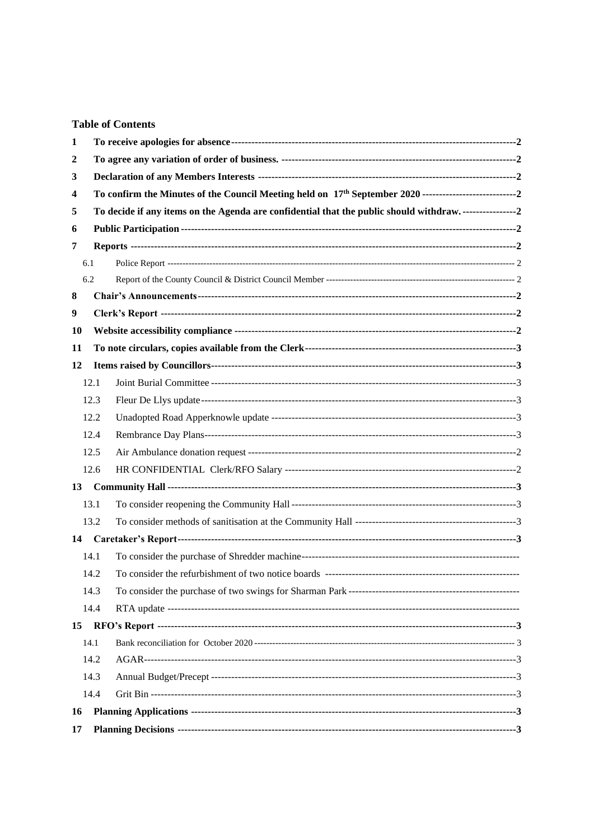## **Table of Contents**

| 2  |      |                                                                                                                |  |  |  |  |
|----|------|----------------------------------------------------------------------------------------------------------------|--|--|--|--|
|    |      |                                                                                                                |  |  |  |  |
| 3  |      |                                                                                                                |  |  |  |  |
| 4  |      |                                                                                                                |  |  |  |  |
| 5  |      | To decide if any items on the Agenda are confidential that the public should withdraw. ----------------------2 |  |  |  |  |
| 6  |      |                                                                                                                |  |  |  |  |
| 7  |      |                                                                                                                |  |  |  |  |
|    | 6.1  |                                                                                                                |  |  |  |  |
|    | 6.2  |                                                                                                                |  |  |  |  |
| 8  |      |                                                                                                                |  |  |  |  |
| 9  |      |                                                                                                                |  |  |  |  |
| 10 |      |                                                                                                                |  |  |  |  |
| 11 |      |                                                                                                                |  |  |  |  |
| 12 |      |                                                                                                                |  |  |  |  |
|    | 12.1 |                                                                                                                |  |  |  |  |
|    | 12.3 |                                                                                                                |  |  |  |  |
|    | 12.2 |                                                                                                                |  |  |  |  |
|    | 12.4 |                                                                                                                |  |  |  |  |
|    | 12.5 |                                                                                                                |  |  |  |  |
|    | 12.6 |                                                                                                                |  |  |  |  |
| 13 |      |                                                                                                                |  |  |  |  |
|    | 13.1 |                                                                                                                |  |  |  |  |
|    | 13.2 |                                                                                                                |  |  |  |  |
| 14 |      |                                                                                                                |  |  |  |  |
|    | 14.1 |                                                                                                                |  |  |  |  |
|    | 14.2 |                                                                                                                |  |  |  |  |
|    | 14.3 |                                                                                                                |  |  |  |  |
|    | 14.4 |                                                                                                                |  |  |  |  |
| 15 |      |                                                                                                                |  |  |  |  |
|    | 14.1 |                                                                                                                |  |  |  |  |
|    | 14.2 |                                                                                                                |  |  |  |  |
|    | 14.3 |                                                                                                                |  |  |  |  |
|    | 14.4 |                                                                                                                |  |  |  |  |
| 16 |      |                                                                                                                |  |  |  |  |
| 17 |      |                                                                                                                |  |  |  |  |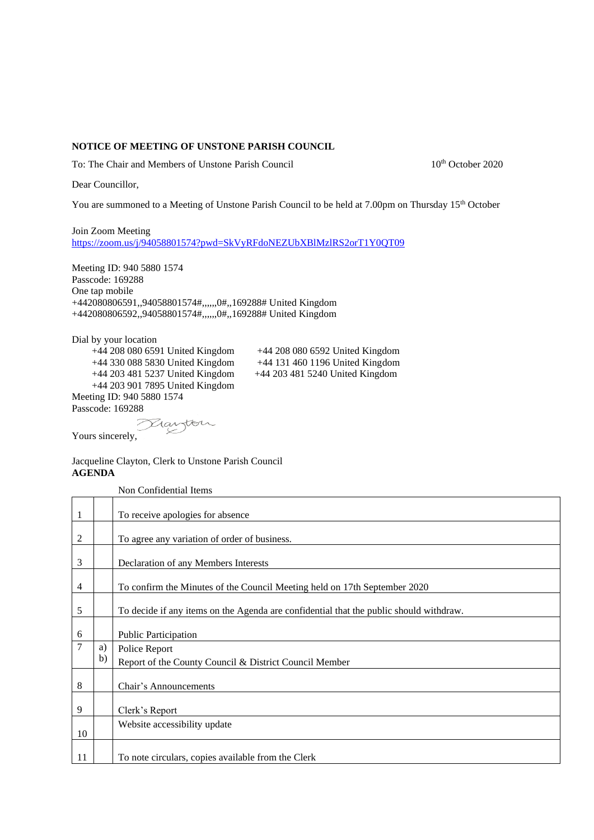## **NOTICE OF MEETING OF UNSTONE PARISH COUNCIL**

To: The Chair and Members of Unstone Parish Council 10th October 2020

Dear Councillor,

You are summoned to a Meeting of Unstone Parish Council to be held at 7.00pm on Thursday 15<sup>th</sup> October

Join Zoom Meeting <https://zoom.us/j/94058801574?pwd=SkVyRFdoNEZUbXBlMzlRS2orT1Y0QT09>

Meeting ID: 940 5880 1574 Passcode: 169288 One tap mobile +442080806591,,94058801574#,,,,,,0#,,169288# United Kingdom +442080806592,,94058801574#,,,,,,0#,,169288# United Kingdom

Dial by your location +44 208 080 6591 United Kingdom +44 208 080 6592 United Kingdom +44 203 481 5237 United Kingdom +44 203 481 5240 United Kingdom +44 203 901 7895 United Kingdom Meeting ID: 940 5880 1574 Passcode: 169288

+44 330 088 5830 United Kingdom +44 131 460 1196 United Kingdom

Yours sincerely,

## Jacqueline Clayton, Clerk to Unstone Parish Council **AGENDA**

Danton

<span id="page-1-3"></span><span id="page-1-2"></span><span id="page-1-1"></span><span id="page-1-0"></span>Non Confidential Items

<span id="page-1-11"></span><span id="page-1-10"></span><span id="page-1-9"></span><span id="page-1-8"></span><span id="page-1-7"></span><span id="page-1-6"></span><span id="page-1-5"></span><span id="page-1-4"></span>

| 1              |    | To receive apologies for absence                                                       |
|----------------|----|----------------------------------------------------------------------------------------|
|                |    |                                                                                        |
| $\overline{c}$ |    | To agree any variation of order of business.                                           |
| 3              |    | Declaration of any Members Interests                                                   |
|                |    |                                                                                        |
| $\overline{4}$ |    | To confirm the Minutes of the Council Meeting held on 17th September 2020              |
| 5              |    | To decide if any items on the Agenda are confidential that the public should withdraw. |
|                |    |                                                                                        |
| 6              |    | <b>Public Participation</b>                                                            |
| $\overline{7}$ | a) | Police Report                                                                          |
|                | b) | Report of the County Council & District Council Member                                 |
|                |    |                                                                                        |
| 8              |    | Chair's Announcements                                                                  |
|                |    |                                                                                        |
| 9              |    | Clerk's Report                                                                         |
| 10             |    | Website accessibility update                                                           |
|                |    |                                                                                        |
| 11             |    | To note circulars, copies available from the Clerk                                     |